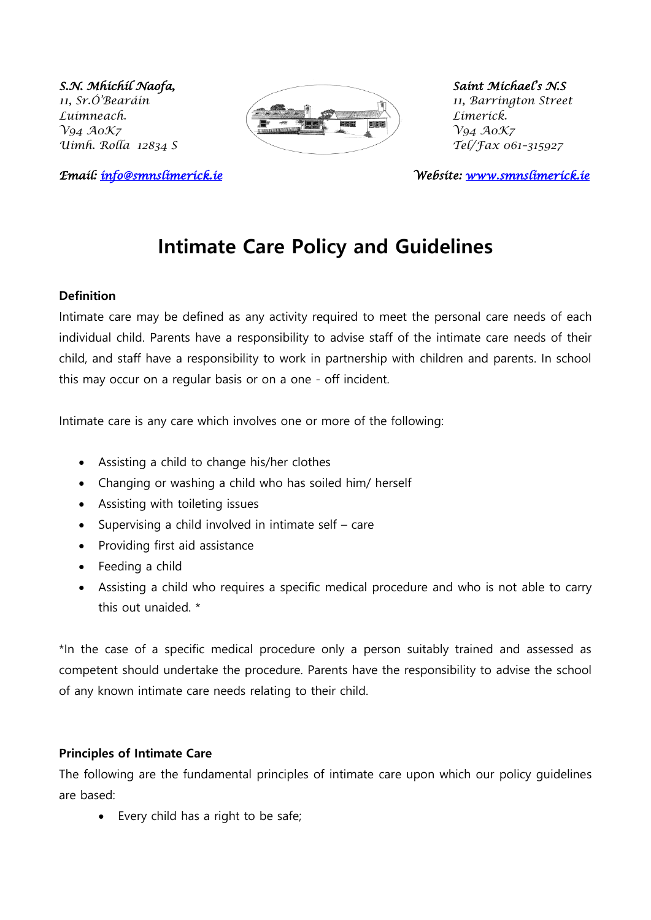

*Email: [info@smnslimerick.ie](mailto:info@smnslimerick.ie) Website: [www.smnslimerick.ie](http://www.smnslimerick.ie/)* 

# **Intimate Care Policy and Guidelines**

#### **Definition**

Intimate care may be defined as any activity required to meet the personal care needs of each individual child. Parents have a responsibility to advise staff of the intimate care needs of their child, and staff have a responsibility to work in partnership with children and parents. In school this may occur on a regular basis or on a one - off incident.

Intimate care is any care which involves one or more of the following:

- Assisting a child to change his/her clothes
- Changing or washing a child who has soiled him/ herself
- Assisting with toileting issues
- Supervising a child involved in intimate self care
- Providing first aid assistance
- Feeding a child
- Assisting a child who requires a specific medical procedure and who is not able to carry this out unaided  $*$

\*In the case of a specific medical procedure only a person suitably trained and assessed as competent should undertake the procedure. Parents have the responsibility to advise the school of any known intimate care needs relating to their child.

#### **Principles of Intimate Care**

The following are the fundamental principles of intimate care upon which our policy guidelines are based:

• Every child has a right to be safe;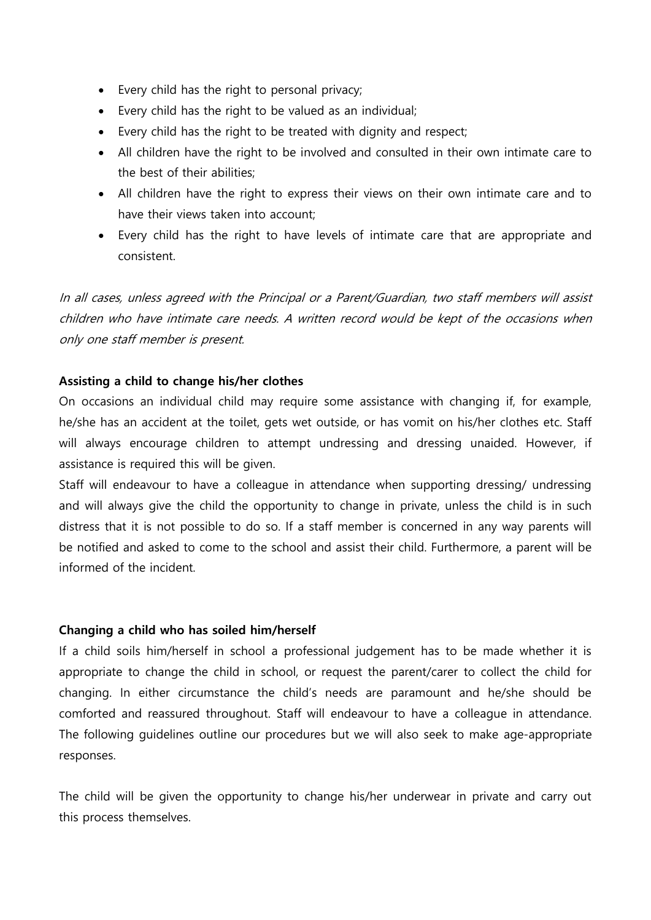- Every child has the right to personal privacy;
- Every child has the right to be valued as an individual;
- Every child has the right to be treated with dignity and respect;
- All children have the right to be involved and consulted in their own intimate care to the best of their abilities;
- All children have the right to express their views on their own intimate care and to have their views taken into account;
- Every child has the right to have levels of intimate care that are appropriate and consistent.

In all cases, unless agreed with the Principal or a Parent/Guardian, two staff members will assist children who have intimate care needs. A written record would be kept of the occasions when only one staff member is present.

#### **Assisting a child to change his/her clothes**

On occasions an individual child may require some assistance with changing if, for example, he/she has an accident at the toilet, gets wet outside, or has vomit on his/her clothes etc. Staff will always encourage children to attempt undressing and dressing unaided. However, if assistance is required this will be given.

Staff will endeavour to have a colleague in attendance when supporting dressing/ undressing and will always give the child the opportunity to change in private, unless the child is in such distress that it is not possible to do so. If a staff member is concerned in any way parents will be notified and asked to come to the school and assist their child. Furthermore, a parent will be informed of the incident.

#### **Changing a child who has soiled him/herself**

If a child soils him/herself in school a professional judgement has to be made whether it is appropriate to change the child in school, or request the parent/carer to collect the child for changing. In either circumstance the child's needs are paramount and he/she should be comforted and reassured throughout. Staff will endeavour to have a colleague in attendance. The following guidelines outline our procedures but we will also seek to make age-appropriate responses.

The child will be given the opportunity to change his/her underwear in private and carry out this process themselves.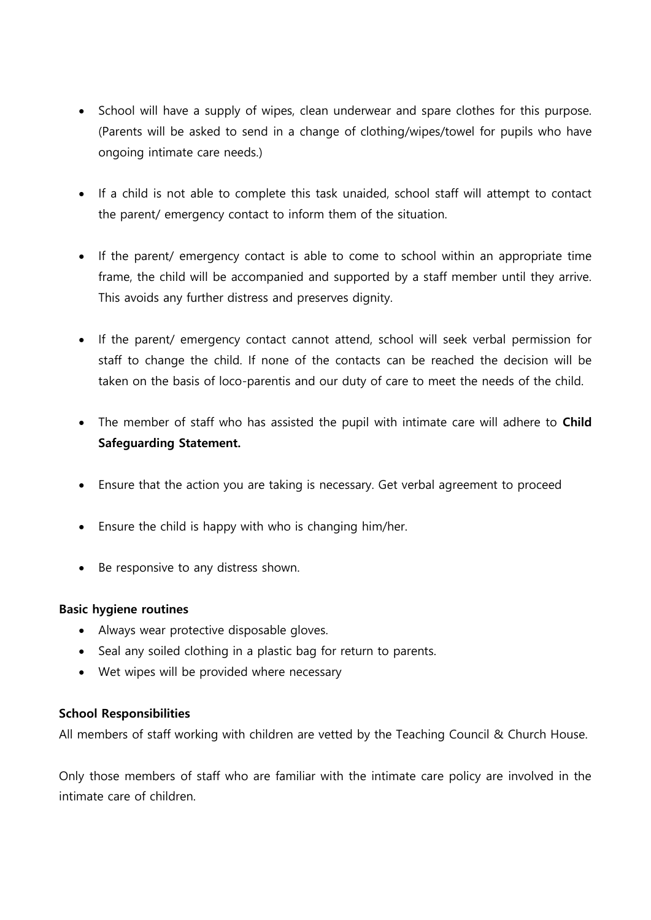- School will have a supply of wipes, clean underwear and spare clothes for this purpose. (Parents will be asked to send in a change of clothing/wipes/towel for pupils who have ongoing intimate care needs.)
- If a child is not able to complete this task unaided, school staff will attempt to contact the parent/ emergency contact to inform them of the situation.
- If the parent/ emergency contact is able to come to school within an appropriate time frame, the child will be accompanied and supported by a staff member until they arrive. This avoids any further distress and preserves dignity.
- If the parent/ emergency contact cannot attend, school will seek verbal permission for staff to change the child. If none of the contacts can be reached the decision will be taken on the basis of loco-parentis and our duty of care to meet the needs of the child.
- The member of staff who has assisted the pupil with intimate care will adhere to **Child Safeguarding Statement.**
- Ensure that the action you are taking is necessary. Get verbal agreement to proceed
- Ensure the child is happy with who is changing him/her.
- Be responsive to any distress shown.

#### **Basic hygiene routines**

- Always wear protective disposable gloves.
- Seal any soiled clothing in a plastic bag for return to parents.
- Wet wipes will be provided where necessary

#### **School Responsibilities**

All members of staff working with children are vetted by the Teaching Council & Church House.

Only those members of staff who are familiar with the intimate care policy are involved in the intimate care of children.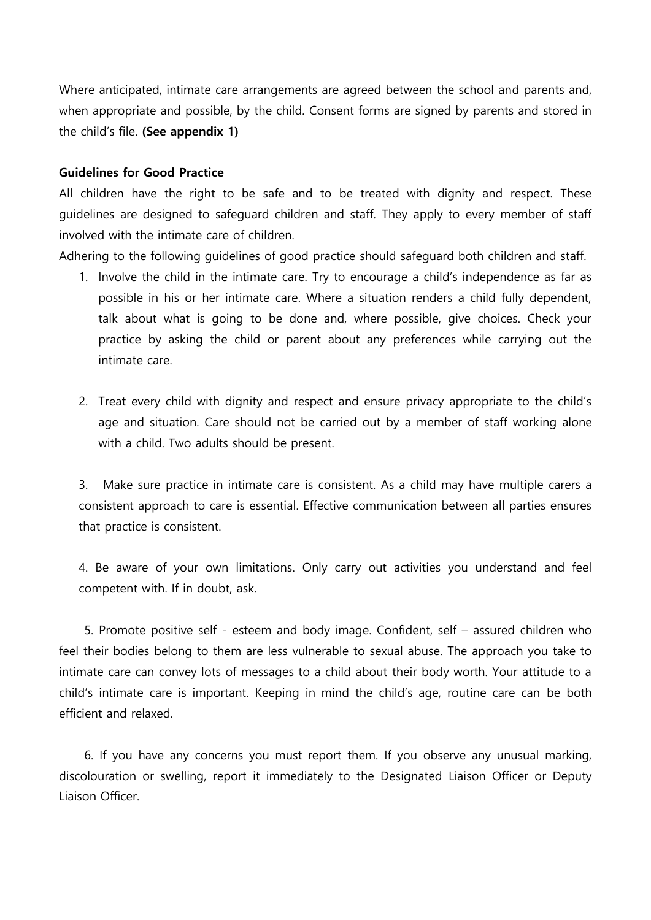Where anticipated, intimate care arrangements are agreed between the school and parents and, when appropriate and possible, by the child. Consent forms are signed by parents and stored in the child's file. **(See appendix 1)**

#### **Guidelines for Good Practice**

All children have the right to be safe and to be treated with dignity and respect. These guidelines are designed to safeguard children and staff. They apply to every member of staff involved with the intimate care of children.

Adhering to the following guidelines of good practice should safeguard both children and staff.

- 1. Involve the child in the intimate care. Try to encourage a child's independence as far as possible in his or her intimate care. Where a situation renders a child fully dependent, talk about what is going to be done and, where possible, give choices. Check your practice by asking the child or parent about any preferences while carrying out the intimate care.
- 2. Treat every child with dignity and respect and ensure privacy appropriate to the child's age and situation. Care should not be carried out by a member of staff working alone with a child. Two adults should be present.

3. Make sure practice in intimate care is consistent. As a child may have multiple carers a consistent approach to care is essential. Effective communication between all parties ensures that practice is consistent.

4. Be aware of your own limitations. Only carry out activities you understand and feel competent with. If in doubt, ask.

 5. Promote positive self - esteem and body image. Confident, self – assured children who feel their bodies belong to them are less vulnerable to sexual abuse. The approach you take to intimate care can convey lots of messages to a child about their body worth. Your attitude to a child's intimate care is important. Keeping in mind the child's age, routine care can be both efficient and relaxed.

 6. If you have any concerns you must report them. If you observe any unusual marking, discolouration or swelling, report it immediately to the Designated Liaison Officer or Deputy Liaison Officer.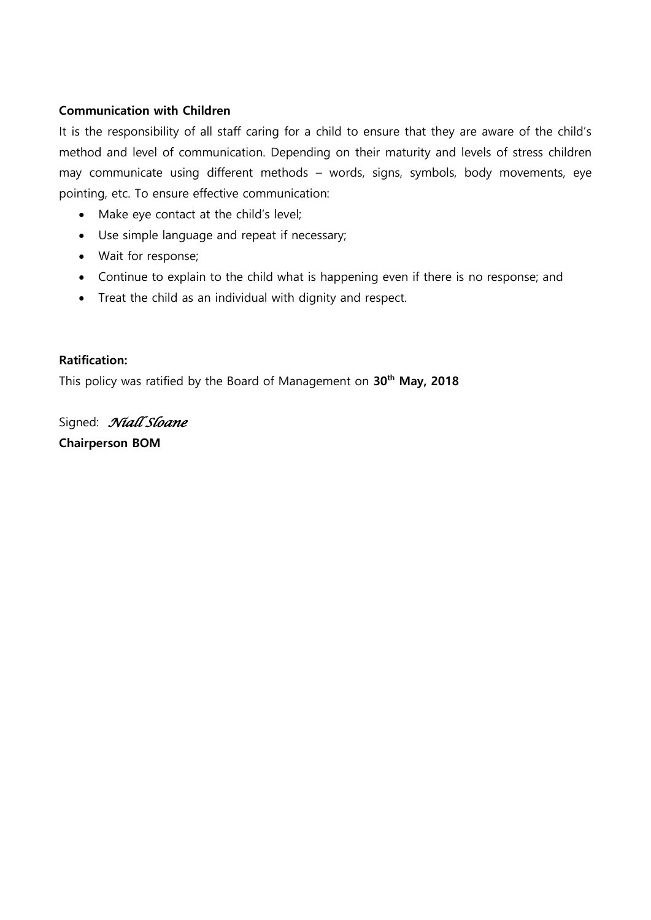#### **Communication with Children**

It is the responsibility of all staff caring for a child to ensure that they are aware of the child's method and level of communication. Depending on their maturity and levels of stress children may communicate using different methods – words, signs, symbols, body movements, eye pointing, etc. To ensure effective communication:

- Make eye contact at the child's level;
- Use simple language and repeat if necessary;
- Wait for response;
- Continue to explain to the child what is happening even if there is no response; and
- Treat the child as an individual with dignity and respect.

#### **Ratification:**

This policy was ratified by the Board of Management on **30th May, 2018**

Signed: *Niall Sloane* **Chairperson BOM**